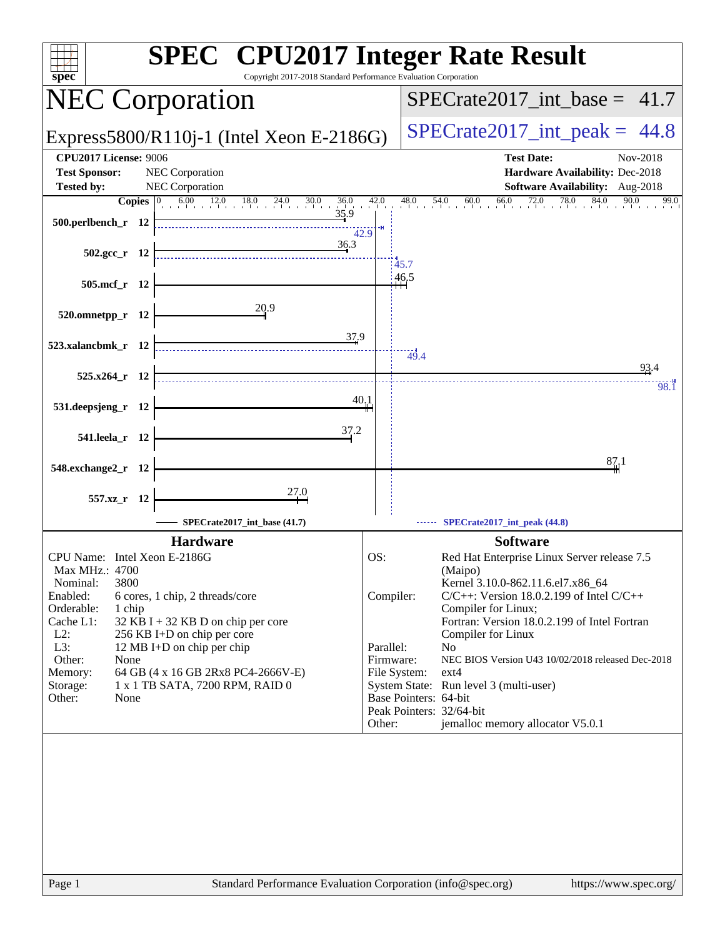| <b>SPEC<sup>®</sup></b> CPU2017 Integer Rate Result<br>Copyright 2017-2018 Standard Performance Evaluation Corporation<br>spec                                                                                                                                                                                                                                                                                   |                                                                      |                                                                     |                                                                                                                                                                                                                                                                                                                                                                                          |
|------------------------------------------------------------------------------------------------------------------------------------------------------------------------------------------------------------------------------------------------------------------------------------------------------------------------------------------------------------------------------------------------------------------|----------------------------------------------------------------------|---------------------------------------------------------------------|------------------------------------------------------------------------------------------------------------------------------------------------------------------------------------------------------------------------------------------------------------------------------------------------------------------------------------------------------------------------------------------|
| <b>NEC Corporation</b>                                                                                                                                                                                                                                                                                                                                                                                           |                                                                      |                                                                     | $SPECTate2017\_int\_base = 41.7$                                                                                                                                                                                                                                                                                                                                                         |
| Express5800/R110j-1 (Intel Xeon E-2186G)                                                                                                                                                                                                                                                                                                                                                                         |                                                                      |                                                                     | $SPECTate2017\_int\_peak = 44.8$                                                                                                                                                                                                                                                                                                                                                         |
| <b>CPU2017 License: 9006</b><br><b>Test Sponsor:</b><br><b>NEC Corporation</b><br>NEC Corporation<br><b>Tested by:</b>                                                                                                                                                                                                                                                                                           |                                                                      |                                                                     | <b>Test Date:</b><br>Nov-2018<br>Hardware Availability: Dec-2018<br>Software Availability: Aug-2018                                                                                                                                                                                                                                                                                      |
| Copies $ 0 $                                                                                                                                                                                                                                                                                                                                                                                                     |                                                                      | 48.0                                                                | $54.0$ 60.0 66.0 72.0 78.0 84.0 90.0<br>99.0                                                                                                                                                                                                                                                                                                                                             |
| 500.perlbench_r 12<br>42.9<br>36.3                                                                                                                                                                                                                                                                                                                                                                               |                                                                      |                                                                     |                                                                                                                                                                                                                                                                                                                                                                                          |
| 502.gcc_r 12                                                                                                                                                                                                                                                                                                                                                                                                     | 45.7                                                                 |                                                                     |                                                                                                                                                                                                                                                                                                                                                                                          |
| 505.mcf_r 12                                                                                                                                                                                                                                                                                                                                                                                                     | 46.5                                                                 |                                                                     |                                                                                                                                                                                                                                                                                                                                                                                          |
| 20.9<br>$520.0$ mnetpp_r 12                                                                                                                                                                                                                                                                                                                                                                                      |                                                                      |                                                                     |                                                                                                                                                                                                                                                                                                                                                                                          |
| $\frac{37.9}{4}$<br>523.xalancbmk_r 12                                                                                                                                                                                                                                                                                                                                                                           |                                                                      | $-49.4$                                                             |                                                                                                                                                                                                                                                                                                                                                                                          |
| 525.x264_r 12                                                                                                                                                                                                                                                                                                                                                                                                    |                                                                      |                                                                     | 93.4<br>98. <sub>I</sub>                                                                                                                                                                                                                                                                                                                                                                 |
| 40.1<br>531.deepsjeng_r 12                                                                                                                                                                                                                                                                                                                                                                                       |                                                                      |                                                                     |                                                                                                                                                                                                                                                                                                                                                                                          |
| 37.2<br>541.leela_r 12                                                                                                                                                                                                                                                                                                                                                                                           |                                                                      |                                                                     |                                                                                                                                                                                                                                                                                                                                                                                          |
| 548.exchange2_r 12                                                                                                                                                                                                                                                                                                                                                                                               |                                                                      |                                                                     | 87,1                                                                                                                                                                                                                                                                                                                                                                                     |
| $\frac{27.0}{4}$<br>557.xz_r 12                                                                                                                                                                                                                                                                                                                                                                                  |                                                                      |                                                                     |                                                                                                                                                                                                                                                                                                                                                                                          |
| SPECrate2017_int_base (41.7)                                                                                                                                                                                                                                                                                                                                                                                     |                                                                      |                                                                     | SPECrate2017_int_peak (44.8)                                                                                                                                                                                                                                                                                                                                                             |
| <b>Hardware</b>                                                                                                                                                                                                                                                                                                                                                                                                  |                                                                      |                                                                     | <b>Software</b>                                                                                                                                                                                                                                                                                                                                                                          |
| CPU Name: Intel Xeon E-2186G<br>Max MHz.: 4700<br>3800<br>Nominal:<br>Enabled:<br>6 cores, 1 chip, 2 threads/core<br>Orderable:<br>1 chip<br>Cache L1:<br>$32$ KB I + 32 KB D on chip per core<br>$L2$ :<br>256 KB I+D on chip per core<br>L3:<br>12 MB I+D on chip per chip<br>Other:<br>None<br>Memory:<br>64 GB (4 x 16 GB 2Rx8 PC4-2666V-E)<br>1 x 1 TB SATA, 7200 RPM, RAID 0<br>Storage:<br>Other:<br>None | OS:<br>Compiler:<br>Parallel:<br>Firmware:<br>File System:<br>Other: | N <sub>0</sub><br>Base Pointers: 64-bit<br>Peak Pointers: 32/64-bit | Red Hat Enterprise Linux Server release 7.5<br>(Maipo)<br>Kernel 3.10.0-862.11.6.el7.x86_64<br>$C/C++$ : Version 18.0.2.199 of Intel $C/C++$<br>Compiler for Linux;<br>Fortran: Version 18.0.2.199 of Intel Fortran<br>Compiler for Linux<br>NEC BIOS Version U43 10/02/2018 released Dec-2018<br>$ext{4}$<br>System State: Run level 3 (multi-user)<br>jemalloc memory allocator V5.0.1 |
| Standard Performance Evaluation Corporation (info@spec.org)<br>Page 1                                                                                                                                                                                                                                                                                                                                            |                                                                      |                                                                     | https://www.spec.org/                                                                                                                                                                                                                                                                                                                                                                    |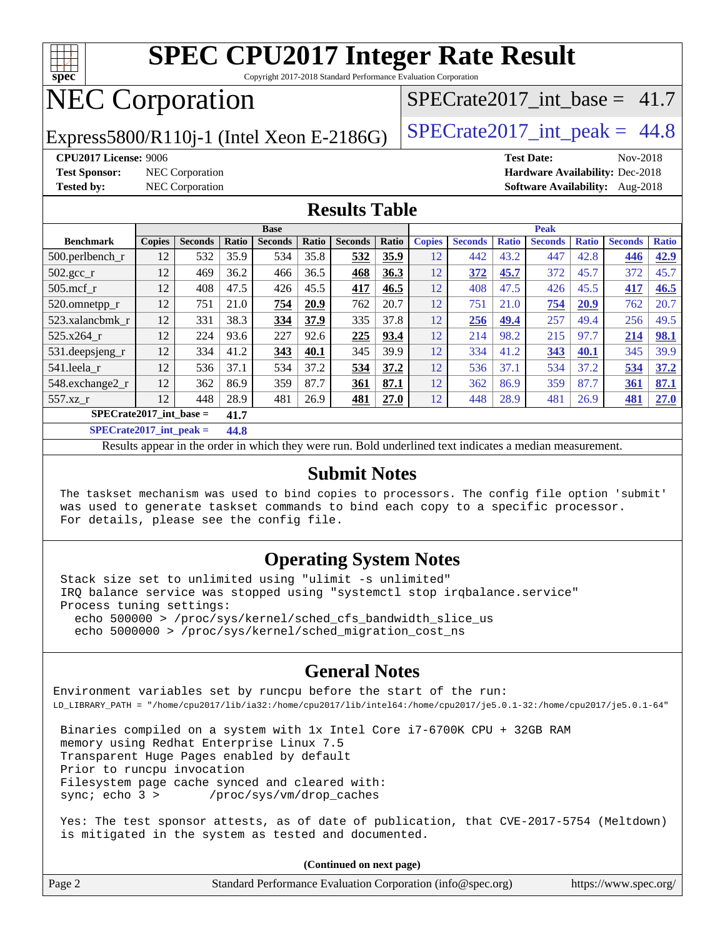

Copyright 2017-2018 Standard Performance Evaluation Corporation

# NEC Corporation

Express5800/R110j-1 (Intel Xeon E-2186G)  $\vert$  [SPECrate2017\\_int\\_peak =](http://www.spec.org/auto/cpu2017/Docs/result-fields.html#SPECrate2017intpeak) 44.8

SPECrate2017 int\_base =  $41.7$ 

**[CPU2017 License:](http://www.spec.org/auto/cpu2017/Docs/result-fields.html#CPU2017License)** 9006 **[Test Date:](http://www.spec.org/auto/cpu2017/Docs/result-fields.html#TestDate)** Nov-2018 **[Test Sponsor:](http://www.spec.org/auto/cpu2017/Docs/result-fields.html#TestSponsor)** NEC Corporation **[Hardware Availability:](http://www.spec.org/auto/cpu2017/Docs/result-fields.html#HardwareAvailability)** Dec-2018 **[Tested by:](http://www.spec.org/auto/cpu2017/Docs/result-fields.html#Testedby)** NEC Corporation **[Software Availability:](http://www.spec.org/auto/cpu2017/Docs/result-fields.html#SoftwareAvailability)** Aug-2018

#### **[Results Table](http://www.spec.org/auto/cpu2017/Docs/result-fields.html#ResultsTable)**

| <b>Base</b>                                                                           |               |                |        |                |       |                | <b>Peak</b> |               |                |              |                |              |                |              |
|---------------------------------------------------------------------------------------|---------------|----------------|--------|----------------|-------|----------------|-------------|---------------|----------------|--------------|----------------|--------------|----------------|--------------|
| <b>Benchmark</b>                                                                      | <b>Copies</b> | <b>Seconds</b> | Ratio  | <b>Seconds</b> | Ratio | <b>Seconds</b> | Ratio       | <b>Copies</b> | <b>Seconds</b> | <b>Ratio</b> | <b>Seconds</b> | <b>Ratio</b> | <b>Seconds</b> | <b>Ratio</b> |
| $500.$ perlbench_r                                                                    | 12            | 532            | 35.9   | 534            | 35.8  | 532            | 35.9        | 12            | 442            | 43.2         | 447            | 42.8         | 446            | 42.9         |
| $502.\text{gcc\_r}$                                                                   | 12            | 469            | 36.2   | 466            | 36.5  | 468            | 36.3        | 12            | 372            | 45.7         | 372            | 45.7         | 372            | 45.7         |
| $505$ .mcf r                                                                          | 12            | 408            | 47.5   | 426            | 45.5  | 417            | 46.5        | 12            | 408            | 47.5         | 426            | 45.5         | 417            | 46.5         |
| 520.omnetpp_r                                                                         | 12            | 751            | 21.0   | 754            | 20.9  | 762            | 20.7        | 12            | 751            | 21.0         | 754            | 20.9         | 762            | 20.7         |
| 523.xalancbmk r                                                                       | 12            | 331            | 38.3   | 334            | 37.9  | 335            | 37.8        | 12            | 256            | 49.4         | 257            | 49.4         | 256            | 49.5         |
| 525.x264 r                                                                            | 12            | 224            | 93.6   | 227            | 92.6  | 225            | 93.4        | 12            | 214            | 98.2         | 215            | 97.7         | 214            | 98.1         |
| 531.deepsjeng_r                                                                       | 12            | 334            | 41.2   | 343            | 40.1  | 345            | 39.9        | 12            | 334            | 41.2         | 343            | 40.1         | 345            | 39.9         |
| 541.leela r                                                                           | 12            | 536            | 37.1   | 534            | 37.2  | 534            | 37.2        | 12            | 536            | 37.1         | 534            | 37.2         | 534            | 37.2         |
| 548.exchange2_r                                                                       | 12            | 362            | 86.9   | 359            | 87.7  | 361            | 87.1        | 12            | 362            | 86.9         | 359            | 87.7         | 361            | 87.1         |
| 557.xz r                                                                              | 12            | 448            | 28.9   | 481            | 26.9  | 481            | 27.0        | 12            | 448            | 28.9         | 481            | 26.9         | 481            | 27.0         |
| $SPECrate2017$ int base =                                                             |               |                | 41.7   |                |       |                |             |               |                |              |                |              |                |              |
| $CDT C1 A0 A1 A2 A3 A4 A5 A6 A7 A8 A9 A1 A1 A1 A1 A1 A1 A1 A1 A1 A1 A1 A1 A1 A1 A1 A$ |               |                | $\sim$ |                |       |                |             |               |                |              |                |              |                |              |

**[SPECrate2017\\_int\\_peak =](http://www.spec.org/auto/cpu2017/Docs/result-fields.html#SPECrate2017intpeak) 44.8**

Results appear in the [order in which they were run](http://www.spec.org/auto/cpu2017/Docs/result-fields.html#RunOrder). Bold underlined text [indicates a median measurement](http://www.spec.org/auto/cpu2017/Docs/result-fields.html#Median).

#### **[Submit Notes](http://www.spec.org/auto/cpu2017/Docs/result-fields.html#SubmitNotes)**

 The taskset mechanism was used to bind copies to processors. The config file option 'submit' was used to generate taskset commands to bind each copy to a specific processor. For details, please see the config file.

### **[Operating System Notes](http://www.spec.org/auto/cpu2017/Docs/result-fields.html#OperatingSystemNotes)**

 Stack size set to unlimited using "ulimit -s unlimited" IRQ balance service was stopped using "systemctl stop irqbalance.service" Process tuning settings: echo 500000 > /proc/sys/kernel/sched\_cfs\_bandwidth\_slice\_us echo 5000000 > /proc/sys/kernel/sched\_migration\_cost\_ns

### **[General Notes](http://www.spec.org/auto/cpu2017/Docs/result-fields.html#GeneralNotes)**

Environment variables set by runcpu before the start of the run: LD\_LIBRARY\_PATH = "/home/cpu2017/lib/ia32:/home/cpu2017/lib/intel64:/home/cpu2017/je5.0.1-32:/home/cpu2017/je5.0.1-64"

 Binaries compiled on a system with 1x Intel Core i7-6700K CPU + 32GB RAM memory using Redhat Enterprise Linux 7.5 Transparent Huge Pages enabled by default Prior to runcpu invocation Filesystem page cache synced and cleared with: sync; echo 3 > /proc/sys/vm/drop\_caches

 Yes: The test sponsor attests, as of date of publication, that CVE-2017-5754 (Meltdown) is mitigated in the system as tested and documented.

**(Continued on next page)**

| Page 2 | Standard Performance Evaluation Corporation (info@spec.org) | https://www.spec.org/ |
|--------|-------------------------------------------------------------|-----------------------|
|--------|-------------------------------------------------------------|-----------------------|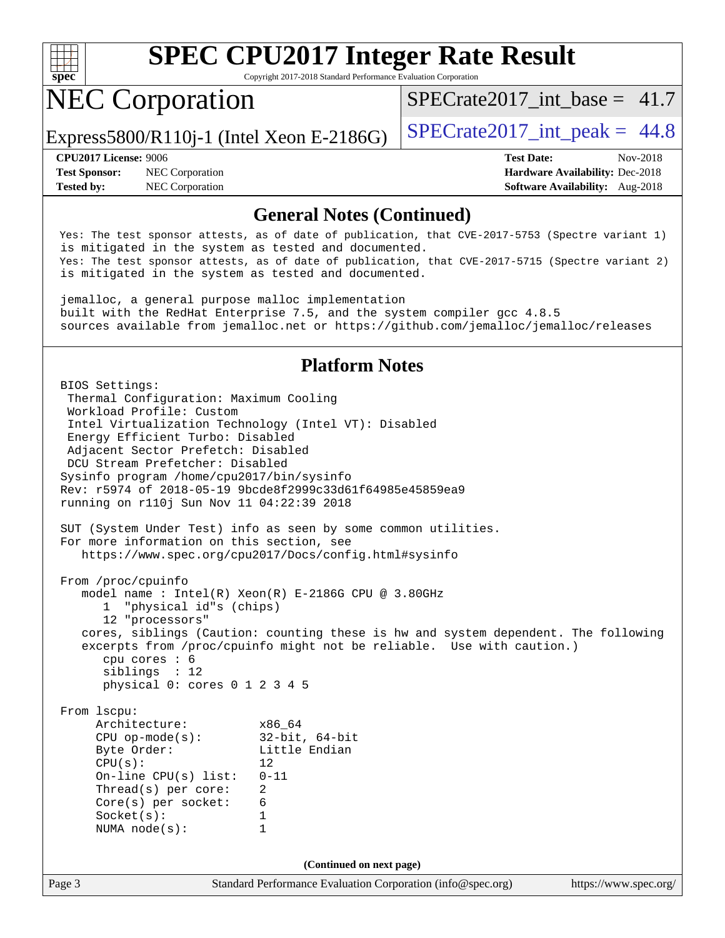

Copyright 2017-2018 Standard Performance Evaluation Corporation

# NEC Corporation

 $SPECTate2017\_int\_base = 41.7$ 

Express5800/R110j-1 (Intel Xeon E-2186G)  $\vert$  [SPECrate2017\\_int\\_peak =](http://www.spec.org/auto/cpu2017/Docs/result-fields.html#SPECrate2017intpeak) 44.8

**[Test Sponsor:](http://www.spec.org/auto/cpu2017/Docs/result-fields.html#TestSponsor)** NEC Corporation **[Hardware Availability:](http://www.spec.org/auto/cpu2017/Docs/result-fields.html#HardwareAvailability)** Dec-2018 **[Tested by:](http://www.spec.org/auto/cpu2017/Docs/result-fields.html#Testedby)** NEC Corporation **[Software Availability:](http://www.spec.org/auto/cpu2017/Docs/result-fields.html#SoftwareAvailability)** Aug-2018

**[CPU2017 License:](http://www.spec.org/auto/cpu2017/Docs/result-fields.html#CPU2017License)** 9006 **[Test Date:](http://www.spec.org/auto/cpu2017/Docs/result-fields.html#TestDate)** Nov-2018

### **[General Notes \(Continued\)](http://www.spec.org/auto/cpu2017/Docs/result-fields.html#GeneralNotes)**

 Yes: The test sponsor attests, as of date of publication, that CVE-2017-5753 (Spectre variant 1) is mitigated in the system as tested and documented. Yes: The test sponsor attests, as of date of publication, that CVE-2017-5715 (Spectre variant 2) is mitigated in the system as tested and documented.

 jemalloc, a general purpose malloc implementation built with the RedHat Enterprise 7.5, and the system compiler gcc 4.8.5 sources available from jemalloc.net or<https://github.com/jemalloc/jemalloc/releases>

### **[Platform Notes](http://www.spec.org/auto/cpu2017/Docs/result-fields.html#PlatformNotes)**

Page 3 Standard Performance Evaluation Corporation [\(info@spec.org\)](mailto:info@spec.org) <https://www.spec.org/> BIOS Settings: Thermal Configuration: Maximum Cooling Workload Profile: Custom Intel Virtualization Technology (Intel VT): Disabled Energy Efficient Turbo: Disabled Adjacent Sector Prefetch: Disabled DCU Stream Prefetcher: Disabled Sysinfo program /home/cpu2017/bin/sysinfo Rev: r5974 of 2018-05-19 9bcde8f2999c33d61f64985e45859ea9 running on r110j Sun Nov 11 04:22:39 2018 SUT (System Under Test) info as seen by some common utilities. For more information on this section, see <https://www.spec.org/cpu2017/Docs/config.html#sysinfo> From /proc/cpuinfo model name : Intel(R) Xeon(R) E-2186G CPU @ 3.80GHz 1 "physical id"s (chips) 12 "processors" cores, siblings (Caution: counting these is hw and system dependent. The following excerpts from /proc/cpuinfo might not be reliable. Use with caution.) cpu cores : 6 siblings : 12 physical 0: cores 0 1 2 3 4 5 From lscpu: Architecture: x86\_64<br>
CPU op-mode(s): 32-bit, 64-bit CPU op-mode $(s)$ : Byte Order: Little Endian  $CPU(s):$  12 On-line CPU(s) list: 0-11 Thread(s) per core: 2 Core(s) per socket: 6 Socket(s): 1 NUMA node(s): 1 **(Continued on next page)**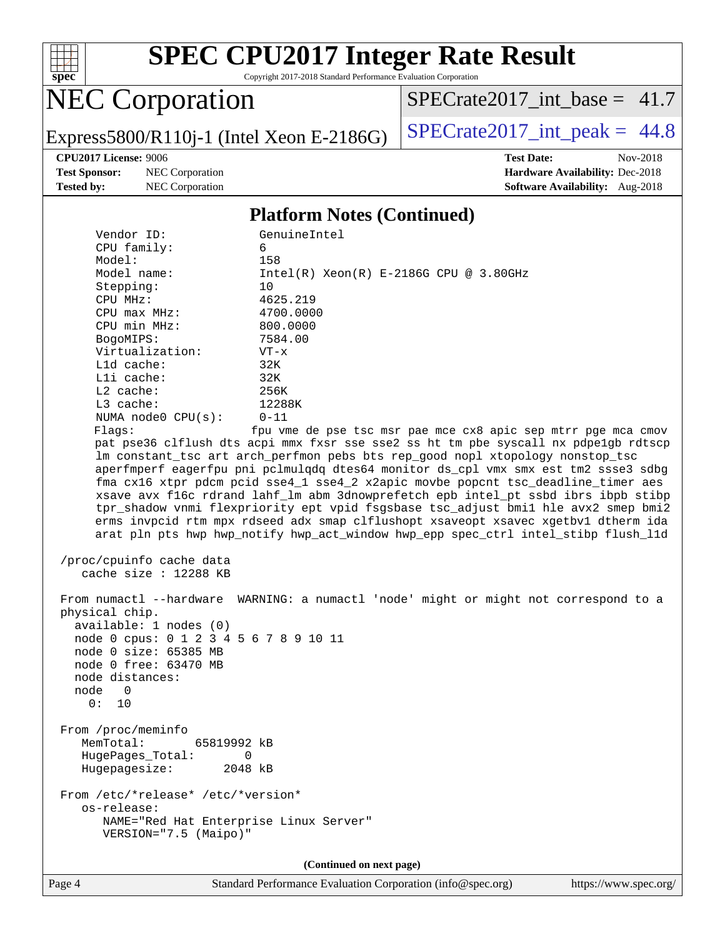

Copyright 2017-2018 Standard Performance Evaluation Corporation

# NEC Corporation

[SPECrate2017\\_int\\_base =](http://www.spec.org/auto/cpu2017/Docs/result-fields.html#SPECrate2017intbase) 41.7

Express5800/R110j-1 (Intel Xeon E-2186G)  $\left|$  [SPECrate2017\\_int\\_peak =](http://www.spec.org/auto/cpu2017/Docs/result-fields.html#SPECrate2017intpeak) 44.8

**[Test Sponsor:](http://www.spec.org/auto/cpu2017/Docs/result-fields.html#TestSponsor)** NEC Corporation **[Hardware Availability:](http://www.spec.org/auto/cpu2017/Docs/result-fields.html#HardwareAvailability)** Dec-2018 **[Tested by:](http://www.spec.org/auto/cpu2017/Docs/result-fields.html#Testedby)** NEC Corporation **[Software Availability:](http://www.spec.org/auto/cpu2017/Docs/result-fields.html#SoftwareAvailability)** Aug-2018

**[CPU2017 License:](http://www.spec.org/auto/cpu2017/Docs/result-fields.html#CPU2017License)** 9006 **[Test Date:](http://www.spec.org/auto/cpu2017/Docs/result-fields.html#TestDate)** Nov-2018

#### **[Platform Notes \(Continued\)](http://www.spec.org/auto/cpu2017/Docs/result-fields.html#PlatformNotes)**

| Vendor ID:                                                      | GenuineIntel                                                                         |
|-----------------------------------------------------------------|--------------------------------------------------------------------------------------|
| CPU family:                                                     | 6                                                                                    |
| Model:                                                          | 158                                                                                  |
| Model name:                                                     | $Intel(R) Xeon(R) E-2186G CPU @ 3.80GHz$                                             |
| Stepping:                                                       | 10                                                                                   |
| CPU MHz:                                                        | 4625.219                                                                             |
| $CPU$ max $MHz$ :                                               | 4700.0000                                                                            |
| CPU min MHz:                                                    | 800.0000                                                                             |
| BogoMIPS:                                                       | 7584.00                                                                              |
| Virtualization:                                                 | $VT - x$                                                                             |
| L1d cache:                                                      | 32K                                                                                  |
| Lli cache:                                                      | 32K                                                                                  |
| L2 cache:                                                       | 256K                                                                                 |
| L3 cache:                                                       | 12288K                                                                               |
| NUMA $node0$ $CPU(s)$ :                                         | $0 - 11$                                                                             |
| Flags:                                                          | fpu vme de pse tsc msr pae mce cx8 apic sep mtrr pge mca cmov                        |
|                                                                 | pat pse36 clflush dts acpi mmx fxsr sse sse2 ss ht tm pbe syscall nx pdpelgb rdtscp  |
|                                                                 | lm constant_tsc art arch_perfmon pebs bts rep_good nopl xtopology nonstop_tsc        |
|                                                                 | aperfmperf eagerfpu pni pclmulqdq dtes64 monitor ds_cpl vmx smx est tm2 ssse3 sdbg   |
|                                                                 | fma cx16 xtpr pdcm pcid sse4_1 sse4_2 x2apic movbe popcnt tsc_deadline_timer aes     |
|                                                                 | xsave avx f16c rdrand lahf_lm abm 3dnowprefetch epb intel_pt ssbd ibrs ibpb stibp    |
|                                                                 | tpr_shadow vnmi flexpriority ept vpid fsgsbase tsc_adjust bmil hle avx2 smep bmi2    |
|                                                                 | erms invpcid rtm mpx rdseed adx smap clflushopt xsaveopt xsavec xgetbv1 dtherm ida   |
|                                                                 | arat pln pts hwp hwp notify hwp act window hwp epp spec ctrl intel stibp flush lld   |
| /proc/cpuinfo cache data<br>cache size : $12288$ KB             |                                                                                      |
|                                                                 |                                                                                      |
|                                                                 | From numactl --hardware WARNING: a numactl 'node' might or might not correspond to a |
| physical chip.                                                  |                                                                                      |
| available: 1 nodes (0)                                          |                                                                                      |
| node 0 cpus: 0 1 2 3 4 5 6 7 8 9 10 11<br>node 0 size: 65385 MB |                                                                                      |
|                                                                 |                                                                                      |
| node 0 free: 63470 MB<br>node distances:                        |                                                                                      |
| node<br>- 0                                                     |                                                                                      |
| 0: 10                                                           |                                                                                      |
|                                                                 |                                                                                      |
|                                                                 |                                                                                      |
| From /proc/meminfo<br>MemTotal:<br>65819992 kB                  |                                                                                      |
|                                                                 |                                                                                      |
| HugePages_Total: 0<br>2048 kB                                   |                                                                                      |
| Hugepagesize:                                                   |                                                                                      |
| From /etc/*release* /etc/*version*                              |                                                                                      |
| os-release:                                                     |                                                                                      |
| NAME="Red Hat Enterprise Linux Server"                          |                                                                                      |
| VERSION="7.5 (Maipo)"                                           |                                                                                      |
|                                                                 |                                                                                      |
|                                                                 | (Continued on next page)                                                             |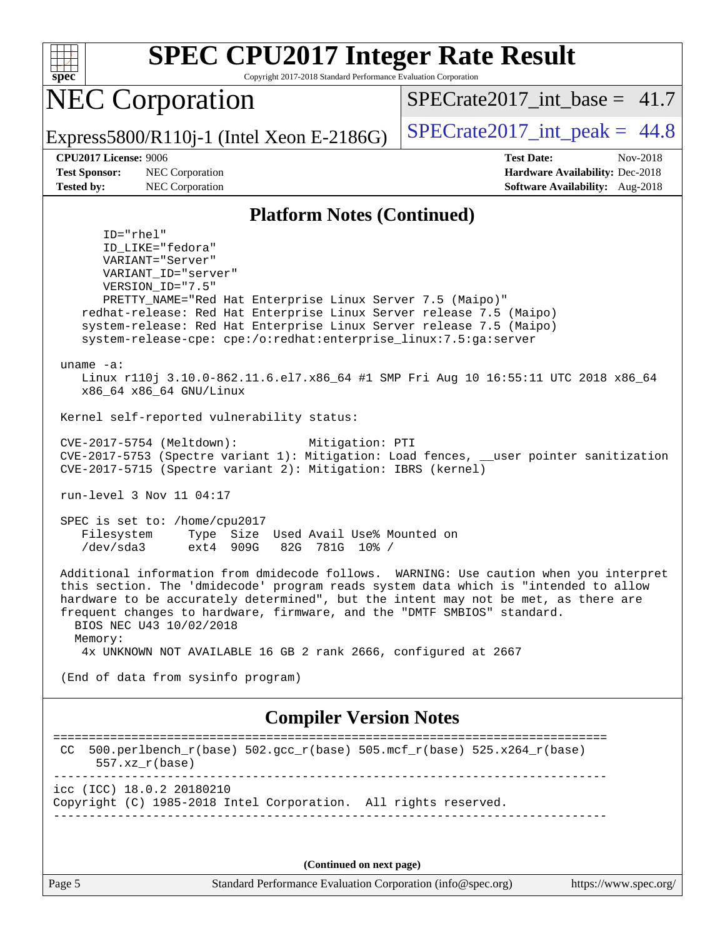

**(Continued on next page)**

Page 5 Standard Performance Evaluation Corporation [\(info@spec.org\)](mailto:info@spec.org) <https://www.spec.org/>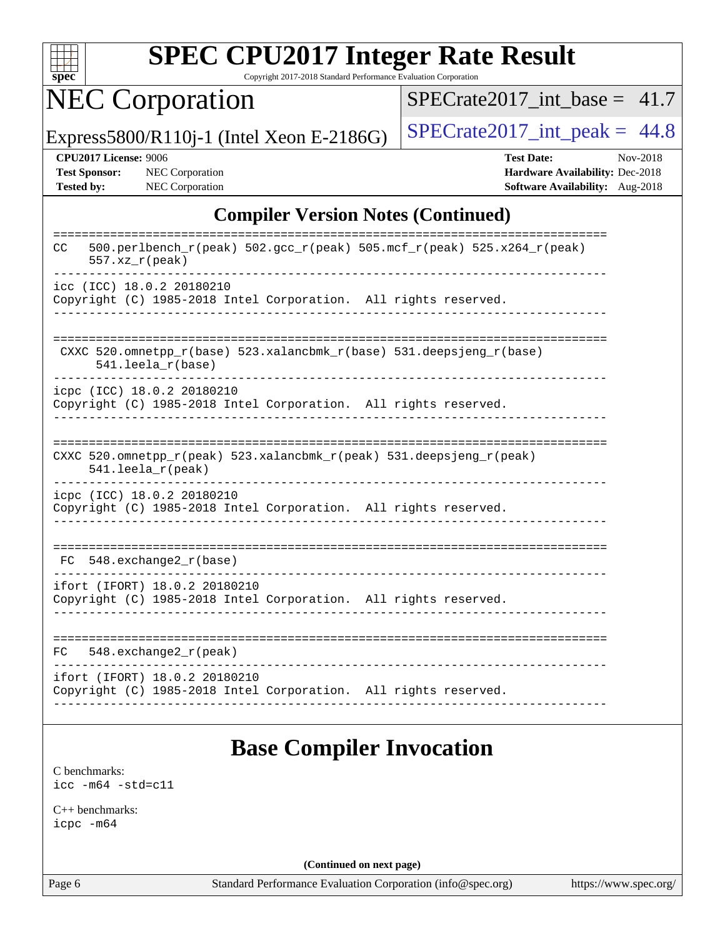

Copyright 2017-2018 Standard Performance Evaluation Corporation

NEC Corporation

 $SPECTate2017\_int\_base = 41.7$ 

Express5800/R110j-1 (Intel Xeon E-2186G)  $\vert$  [SPECrate2017\\_int\\_peak =](http://www.spec.org/auto/cpu2017/Docs/result-fields.html#SPECrate2017intpeak) 44.8

**[CPU2017 License:](http://www.spec.org/auto/cpu2017/Docs/result-fields.html#CPU2017License)** 9006 **[Test Date:](http://www.spec.org/auto/cpu2017/Docs/result-fields.html#TestDate)** Nov-2018 **[Test Sponsor:](http://www.spec.org/auto/cpu2017/Docs/result-fields.html#TestSponsor)** NEC Corporation **[Hardware Availability:](http://www.spec.org/auto/cpu2017/Docs/result-fields.html#HardwareAvailability)** Dec-2018 **[Tested by:](http://www.spec.org/auto/cpu2017/Docs/result-fields.html#Testedby)** NEC Corporation **[Software Availability:](http://www.spec.org/auto/cpu2017/Docs/result-fields.html#SoftwareAvailability)** Aug-2018

### **[Compiler Version Notes \(Continued\)](http://www.spec.org/auto/cpu2017/Docs/result-fields.html#CompilerVersionNotes)**

| $500. perlbench_r (peak) 502. gcc_r (peak) 505. mcf_r (peak) 525. x264_r (peak)$<br>CC.<br>$557.xx$ $r$ (peak) |
|----------------------------------------------------------------------------------------------------------------|
| icc (ICC) 18.0.2 20180210                                                                                      |
| Copyright (C) 1985-2018 Intel Corporation. All rights reserved.                                                |
|                                                                                                                |
|                                                                                                                |
| CXXC 520.omnetpp_r(base) 523.xalancbmk_r(base) 531.deepsjeng_r(base)<br>$541.$ leela $r(base)$                 |
| icpc (ICC) 18.0.2 20180210                                                                                     |
| Copyright (C) 1985-2018 Intel Corporation. All rights reserved.                                                |
|                                                                                                                |
|                                                                                                                |
| CXXC 520.omnetpp_r(peak) 523.xalancbmk_r(peak) 531.deepsjeng_r(peak)<br>$541.$ leela_r(peak)                   |
| icpc (ICC) 18.0.2 20180210                                                                                     |
| Copyright (C) 1985-2018 Intel Corporation. All rights reserved.                                                |
|                                                                                                                |
|                                                                                                                |
| $548$ . exchange $2r$ (base)<br>FC                                                                             |
| ifort (IFORT) 18.0.2 20180210                                                                                  |
| Copyright (C) 1985-2018 Intel Corporation. All rights reserved.                                                |
|                                                                                                                |
|                                                                                                                |
| $548$ . exchange $2r$ (peak)<br>FC                                                                             |
| ifort (IFORT) 18.0.2 20180210                                                                                  |
| Copyright (C) 1985-2018 Intel Corporation. All rights reserved.                                                |
|                                                                                                                |

## **[Base Compiler Invocation](http://www.spec.org/auto/cpu2017/Docs/result-fields.html#BaseCompilerInvocation)**

[C benchmarks](http://www.spec.org/auto/cpu2017/Docs/result-fields.html#Cbenchmarks): [icc -m64 -std=c11](http://www.spec.org/cpu2017/results/res2018q4/cpu2017-20181210-10059.flags.html#user_CCbase_intel_icc_64bit_c11_33ee0cdaae7deeeab2a9725423ba97205ce30f63b9926c2519791662299b76a0318f32ddfffdc46587804de3178b4f9328c46fa7c2b0cd779d7a61945c91cd35)

[C++ benchmarks:](http://www.spec.org/auto/cpu2017/Docs/result-fields.html#CXXbenchmarks) [icpc -m64](http://www.spec.org/cpu2017/results/res2018q4/cpu2017-20181210-10059.flags.html#user_CXXbase_intel_icpc_64bit_4ecb2543ae3f1412ef961e0650ca070fec7b7afdcd6ed48761b84423119d1bf6bdf5cad15b44d48e7256388bc77273b966e5eb805aefd121eb22e9299b2ec9d9)

**(Continued on next page)**

Page 6 Standard Performance Evaluation Corporation [\(info@spec.org\)](mailto:info@spec.org) <https://www.spec.org/>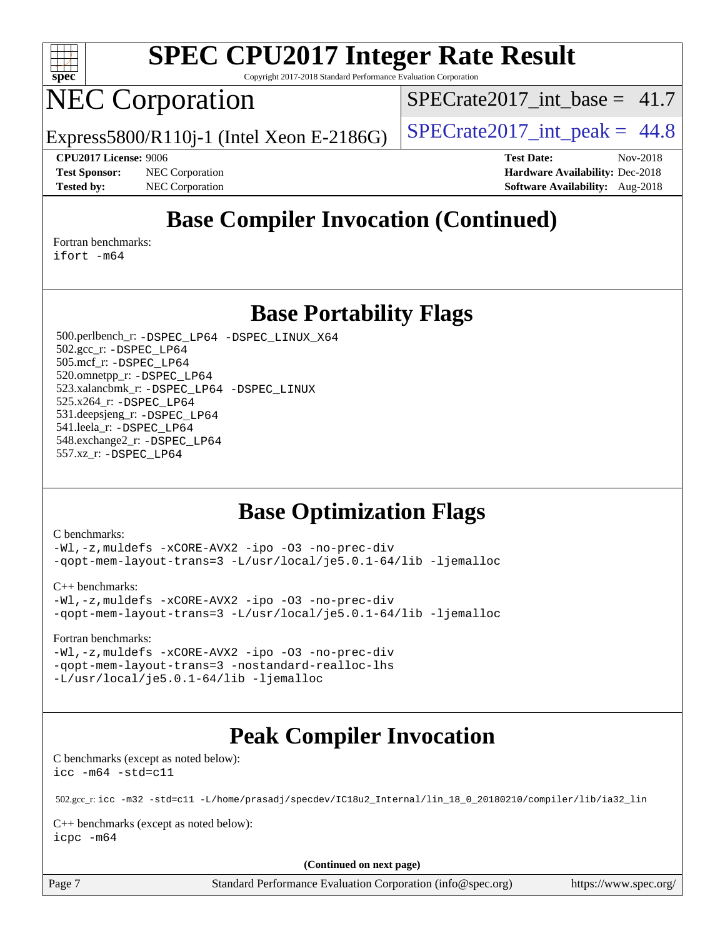

Copyright 2017-2018 Standard Performance Evaluation Corporation

# NEC Corporation

 $SPECTate2017\_int\_base = 41.7$ 

Express5800/R110j-1 (Intel Xeon E-2186G)  $\vert$  [SPECrate2017\\_int\\_peak =](http://www.spec.org/auto/cpu2017/Docs/result-fields.html#SPECrate2017intpeak) 44.8

**[CPU2017 License:](http://www.spec.org/auto/cpu2017/Docs/result-fields.html#CPU2017License)** 9006 **[Test Date:](http://www.spec.org/auto/cpu2017/Docs/result-fields.html#TestDate)** Nov-2018 **[Test Sponsor:](http://www.spec.org/auto/cpu2017/Docs/result-fields.html#TestSponsor)** NEC Corporation **[Hardware Availability:](http://www.spec.org/auto/cpu2017/Docs/result-fields.html#HardwareAvailability)** Dec-2018 **[Tested by:](http://www.spec.org/auto/cpu2017/Docs/result-fields.html#Testedby)** NEC Corporation **[Software Availability:](http://www.spec.org/auto/cpu2017/Docs/result-fields.html#SoftwareAvailability)** Aug-2018

## **[Base Compiler Invocation \(Continued\)](http://www.spec.org/auto/cpu2017/Docs/result-fields.html#BaseCompilerInvocation)**

[Fortran benchmarks](http://www.spec.org/auto/cpu2017/Docs/result-fields.html#Fortranbenchmarks): [ifort -m64](http://www.spec.org/cpu2017/results/res2018q4/cpu2017-20181210-10059.flags.html#user_FCbase_intel_ifort_64bit_24f2bb282fbaeffd6157abe4f878425411749daecae9a33200eee2bee2fe76f3b89351d69a8130dd5949958ce389cf37ff59a95e7a40d588e8d3a57e0c3fd751)

**[Base Portability Flags](http://www.spec.org/auto/cpu2017/Docs/result-fields.html#BasePortabilityFlags)**

 500.perlbench\_r: [-DSPEC\\_LP64](http://www.spec.org/cpu2017/results/res2018q4/cpu2017-20181210-10059.flags.html#b500.perlbench_r_basePORTABILITY_DSPEC_LP64) [-DSPEC\\_LINUX\\_X64](http://www.spec.org/cpu2017/results/res2018q4/cpu2017-20181210-10059.flags.html#b500.perlbench_r_baseCPORTABILITY_DSPEC_LINUX_X64) 502.gcc\_r: [-DSPEC\\_LP64](http://www.spec.org/cpu2017/results/res2018q4/cpu2017-20181210-10059.flags.html#suite_basePORTABILITY502_gcc_r_DSPEC_LP64) 505.mcf\_r: [-DSPEC\\_LP64](http://www.spec.org/cpu2017/results/res2018q4/cpu2017-20181210-10059.flags.html#suite_basePORTABILITY505_mcf_r_DSPEC_LP64) 520.omnetpp\_r: [-DSPEC\\_LP64](http://www.spec.org/cpu2017/results/res2018q4/cpu2017-20181210-10059.flags.html#suite_basePORTABILITY520_omnetpp_r_DSPEC_LP64) 523.xalancbmk\_r: [-DSPEC\\_LP64](http://www.spec.org/cpu2017/results/res2018q4/cpu2017-20181210-10059.flags.html#suite_basePORTABILITY523_xalancbmk_r_DSPEC_LP64) [-DSPEC\\_LINUX](http://www.spec.org/cpu2017/results/res2018q4/cpu2017-20181210-10059.flags.html#b523.xalancbmk_r_baseCXXPORTABILITY_DSPEC_LINUX) 525.x264\_r: [-DSPEC\\_LP64](http://www.spec.org/cpu2017/results/res2018q4/cpu2017-20181210-10059.flags.html#suite_basePORTABILITY525_x264_r_DSPEC_LP64) 531.deepsjeng\_r: [-DSPEC\\_LP64](http://www.spec.org/cpu2017/results/res2018q4/cpu2017-20181210-10059.flags.html#suite_basePORTABILITY531_deepsjeng_r_DSPEC_LP64) 541.leela\_r: [-DSPEC\\_LP64](http://www.spec.org/cpu2017/results/res2018q4/cpu2017-20181210-10059.flags.html#suite_basePORTABILITY541_leela_r_DSPEC_LP64) 548.exchange2\_r: [-DSPEC\\_LP64](http://www.spec.org/cpu2017/results/res2018q4/cpu2017-20181210-10059.flags.html#suite_basePORTABILITY548_exchange2_r_DSPEC_LP64) 557.xz\_r: [-DSPEC\\_LP64](http://www.spec.org/cpu2017/results/res2018q4/cpu2017-20181210-10059.flags.html#suite_basePORTABILITY557_xz_r_DSPEC_LP64)

### **[Base Optimization Flags](http://www.spec.org/auto/cpu2017/Docs/result-fields.html#BaseOptimizationFlags)**

[C benchmarks](http://www.spec.org/auto/cpu2017/Docs/result-fields.html#Cbenchmarks):

[-Wl,-z,muldefs](http://www.spec.org/cpu2017/results/res2018q4/cpu2017-20181210-10059.flags.html#user_CCbase_link_force_multiple1_b4cbdb97b34bdee9ceefcfe54f4c8ea74255f0b02a4b23e853cdb0e18eb4525ac79b5a88067c842dd0ee6996c24547a27a4b99331201badda8798ef8a743f577) [-xCORE-AVX2](http://www.spec.org/cpu2017/results/res2018q4/cpu2017-20181210-10059.flags.html#user_CCbase_f-xCORE-AVX2) [-ipo](http://www.spec.org/cpu2017/results/res2018q4/cpu2017-20181210-10059.flags.html#user_CCbase_f-ipo) [-O3](http://www.spec.org/cpu2017/results/res2018q4/cpu2017-20181210-10059.flags.html#user_CCbase_f-O3) [-no-prec-div](http://www.spec.org/cpu2017/results/res2018q4/cpu2017-20181210-10059.flags.html#user_CCbase_f-no-prec-div) [-qopt-mem-layout-trans=3](http://www.spec.org/cpu2017/results/res2018q4/cpu2017-20181210-10059.flags.html#user_CCbase_f-qopt-mem-layout-trans_de80db37974c74b1f0e20d883f0b675c88c3b01e9d123adea9b28688d64333345fb62bc4a798493513fdb68f60282f9a726aa07f478b2f7113531aecce732043) [-L/usr/local/je5.0.1-64/lib](http://www.spec.org/cpu2017/results/res2018q4/cpu2017-20181210-10059.flags.html#user_CCbase_jemalloc_link_path64_4b10a636b7bce113509b17f3bd0d6226c5fb2346b9178c2d0232c14f04ab830f976640479e5c33dc2bcbbdad86ecfb6634cbbd4418746f06f368b512fced5394) [-ljemalloc](http://www.spec.org/cpu2017/results/res2018q4/cpu2017-20181210-10059.flags.html#user_CCbase_jemalloc_link_lib_d1249b907c500fa1c0672f44f562e3d0f79738ae9e3c4a9c376d49f265a04b9c99b167ecedbf6711b3085be911c67ff61f150a17b3472be731631ba4d0471706)

[C++ benchmarks:](http://www.spec.org/auto/cpu2017/Docs/result-fields.html#CXXbenchmarks)

```
-Wl,-z,muldefs -xCORE-AVX2 -ipo -O3 -no-prec-div
-qopt-mem-layout-trans=3 -L/usr/local/je5.0.1-64/lib -ljemalloc
```
[Fortran benchmarks](http://www.spec.org/auto/cpu2017/Docs/result-fields.html#Fortranbenchmarks):

[-Wl,-z,muldefs](http://www.spec.org/cpu2017/results/res2018q4/cpu2017-20181210-10059.flags.html#user_FCbase_link_force_multiple1_b4cbdb97b34bdee9ceefcfe54f4c8ea74255f0b02a4b23e853cdb0e18eb4525ac79b5a88067c842dd0ee6996c24547a27a4b99331201badda8798ef8a743f577) [-xCORE-AVX2](http://www.spec.org/cpu2017/results/res2018q4/cpu2017-20181210-10059.flags.html#user_FCbase_f-xCORE-AVX2) [-ipo](http://www.spec.org/cpu2017/results/res2018q4/cpu2017-20181210-10059.flags.html#user_FCbase_f-ipo) [-O3](http://www.spec.org/cpu2017/results/res2018q4/cpu2017-20181210-10059.flags.html#user_FCbase_f-O3) [-no-prec-div](http://www.spec.org/cpu2017/results/res2018q4/cpu2017-20181210-10059.flags.html#user_FCbase_f-no-prec-div) [-qopt-mem-layout-trans=3](http://www.spec.org/cpu2017/results/res2018q4/cpu2017-20181210-10059.flags.html#user_FCbase_f-qopt-mem-layout-trans_de80db37974c74b1f0e20d883f0b675c88c3b01e9d123adea9b28688d64333345fb62bc4a798493513fdb68f60282f9a726aa07f478b2f7113531aecce732043) [-nostandard-realloc-lhs](http://www.spec.org/cpu2017/results/res2018q4/cpu2017-20181210-10059.flags.html#user_FCbase_f_2003_std_realloc_82b4557e90729c0f113870c07e44d33d6f5a304b4f63d4c15d2d0f1fab99f5daaed73bdb9275d9ae411527f28b936061aa8b9c8f2d63842963b95c9dd6426b8a) [-L/usr/local/je5.0.1-64/lib](http://www.spec.org/cpu2017/results/res2018q4/cpu2017-20181210-10059.flags.html#user_FCbase_jemalloc_link_path64_4b10a636b7bce113509b17f3bd0d6226c5fb2346b9178c2d0232c14f04ab830f976640479e5c33dc2bcbbdad86ecfb6634cbbd4418746f06f368b512fced5394) [-ljemalloc](http://www.spec.org/cpu2017/results/res2018q4/cpu2017-20181210-10059.flags.html#user_FCbase_jemalloc_link_lib_d1249b907c500fa1c0672f44f562e3d0f79738ae9e3c4a9c376d49f265a04b9c99b167ecedbf6711b3085be911c67ff61f150a17b3472be731631ba4d0471706)

## **[Peak Compiler Invocation](http://www.spec.org/auto/cpu2017/Docs/result-fields.html#PeakCompilerInvocation)**

[C benchmarks \(except as noted below\)](http://www.spec.org/auto/cpu2017/Docs/result-fields.html#Cbenchmarksexceptasnotedbelow): [icc -m64 -std=c11](http://www.spec.org/cpu2017/results/res2018q4/cpu2017-20181210-10059.flags.html#user_CCpeak_intel_icc_64bit_c11_33ee0cdaae7deeeab2a9725423ba97205ce30f63b9926c2519791662299b76a0318f32ddfffdc46587804de3178b4f9328c46fa7c2b0cd779d7a61945c91cd35)

502.gcc\_r: [icc -m32 -std=c11 -L/home/prasadj/specdev/IC18u2\\_Internal/lin\\_18\\_0\\_20180210/compiler/lib/ia32\\_lin](http://www.spec.org/cpu2017/results/res2018q4/cpu2017-20181210-10059.flags.html#user_peakCCLD502_gcc_r_intel_icc_a481ac844e7127046fad14d498c730a1848fa901fbbb2c3dfdd5e9fbbac777c8009953946d55d8b6afe8ed0da70dd2b4f8dedbdf7ab1ee211ba70d24a5d89f85)

[C++ benchmarks \(except as noted below\):](http://www.spec.org/auto/cpu2017/Docs/result-fields.html#CXXbenchmarksexceptasnotedbelow) [icpc -m64](http://www.spec.org/cpu2017/results/res2018q4/cpu2017-20181210-10059.flags.html#user_CXXpeak_intel_icpc_64bit_4ecb2543ae3f1412ef961e0650ca070fec7b7afdcd6ed48761b84423119d1bf6bdf5cad15b44d48e7256388bc77273b966e5eb805aefd121eb22e9299b2ec9d9)

**(Continued on next page)**

Page 7 Standard Performance Evaluation Corporation [\(info@spec.org\)](mailto:info@spec.org) <https://www.spec.org/>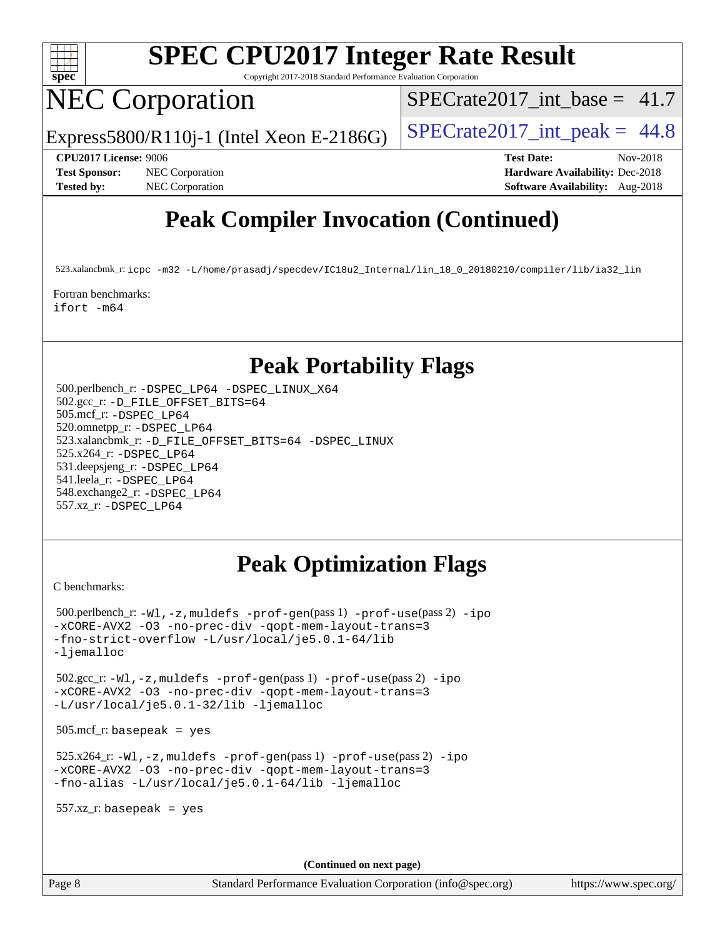

Copyright 2017-2018 Standard Performance Evaluation Corporation

# NEC Corporation

 $SPECTate2017\_int\_base = 41.7$ 

Express5800/R110j-1 (Intel Xeon E-2186G)  $\vert$  [SPECrate2017\\_int\\_peak =](http://www.spec.org/auto/cpu2017/Docs/result-fields.html#SPECrate2017intpeak) 44.8

**[Test Sponsor:](http://www.spec.org/auto/cpu2017/Docs/result-fields.html#TestSponsor)** NEC Corporation **[Hardware Availability:](http://www.spec.org/auto/cpu2017/Docs/result-fields.html#HardwareAvailability)** Dec-2018

**[CPU2017 License:](http://www.spec.org/auto/cpu2017/Docs/result-fields.html#CPU2017License)** 9006 **[Test Date:](http://www.spec.org/auto/cpu2017/Docs/result-fields.html#TestDate)** Nov-2018 **[Tested by:](http://www.spec.org/auto/cpu2017/Docs/result-fields.html#Testedby)** NEC Corporation **[Software Availability:](http://www.spec.org/auto/cpu2017/Docs/result-fields.html#SoftwareAvailability)** Aug-2018

### **[Peak Compiler Invocation \(Continued\)](http://www.spec.org/auto/cpu2017/Docs/result-fields.html#PeakCompilerInvocation)**

523.xalancbmk\_r: [icpc -m32 -L/home/prasadj/specdev/IC18u2\\_Internal/lin\\_18\\_0\\_20180210/compiler/lib/ia32\\_lin](http://www.spec.org/cpu2017/results/res2018q4/cpu2017-20181210-10059.flags.html#user_peakCXXLD523_xalancbmk_r_intel_icpc_c6d030cd79af6ea7d6fb64c57e8fe7ae8fe0b96fc5a3b3f4a10e3273b3d7fa9decd8263f6330cef23f751cb093a69fae84a2bf4c243500a8eed069248128076f)

[Fortran benchmarks](http://www.spec.org/auto/cpu2017/Docs/result-fields.html#Fortranbenchmarks): [ifort -m64](http://www.spec.org/cpu2017/results/res2018q4/cpu2017-20181210-10059.flags.html#user_FCpeak_intel_ifort_64bit_24f2bb282fbaeffd6157abe4f878425411749daecae9a33200eee2bee2fe76f3b89351d69a8130dd5949958ce389cf37ff59a95e7a40d588e8d3a57e0c3fd751)

### **[Peak Portability Flags](http://www.spec.org/auto/cpu2017/Docs/result-fields.html#PeakPortabilityFlags)**

 500.perlbench\_r: [-DSPEC\\_LP64](http://www.spec.org/cpu2017/results/res2018q4/cpu2017-20181210-10059.flags.html#b500.perlbench_r_peakPORTABILITY_DSPEC_LP64) [-DSPEC\\_LINUX\\_X64](http://www.spec.org/cpu2017/results/res2018q4/cpu2017-20181210-10059.flags.html#b500.perlbench_r_peakCPORTABILITY_DSPEC_LINUX_X64) 502.gcc\_r: [-D\\_FILE\\_OFFSET\\_BITS=64](http://www.spec.org/cpu2017/results/res2018q4/cpu2017-20181210-10059.flags.html#user_peakPORTABILITY502_gcc_r_file_offset_bits_64_5ae949a99b284ddf4e95728d47cb0843d81b2eb0e18bdfe74bbf0f61d0b064f4bda2f10ea5eb90e1dcab0e84dbc592acfc5018bc955c18609f94ddb8d550002c) 505.mcf\_r: [-DSPEC\\_LP64](http://www.spec.org/cpu2017/results/res2018q4/cpu2017-20181210-10059.flags.html#suite_peakPORTABILITY505_mcf_r_DSPEC_LP64) 520.omnetpp\_r: [-DSPEC\\_LP64](http://www.spec.org/cpu2017/results/res2018q4/cpu2017-20181210-10059.flags.html#suite_peakPORTABILITY520_omnetpp_r_DSPEC_LP64) 523.xalancbmk\_r: [-D\\_FILE\\_OFFSET\\_BITS=64](http://www.spec.org/cpu2017/results/res2018q4/cpu2017-20181210-10059.flags.html#user_peakPORTABILITY523_xalancbmk_r_file_offset_bits_64_5ae949a99b284ddf4e95728d47cb0843d81b2eb0e18bdfe74bbf0f61d0b064f4bda2f10ea5eb90e1dcab0e84dbc592acfc5018bc955c18609f94ddb8d550002c) [-DSPEC\\_LINUX](http://www.spec.org/cpu2017/results/res2018q4/cpu2017-20181210-10059.flags.html#b523.xalancbmk_r_peakCXXPORTABILITY_DSPEC_LINUX) 525.x264\_r: [-DSPEC\\_LP64](http://www.spec.org/cpu2017/results/res2018q4/cpu2017-20181210-10059.flags.html#suite_peakPORTABILITY525_x264_r_DSPEC_LP64) 531.deepsjeng\_r: [-DSPEC\\_LP64](http://www.spec.org/cpu2017/results/res2018q4/cpu2017-20181210-10059.flags.html#suite_peakPORTABILITY531_deepsjeng_r_DSPEC_LP64) 541.leela\_r: [-DSPEC\\_LP64](http://www.spec.org/cpu2017/results/res2018q4/cpu2017-20181210-10059.flags.html#suite_peakPORTABILITY541_leela_r_DSPEC_LP64) 548.exchange2\_r: [-DSPEC\\_LP64](http://www.spec.org/cpu2017/results/res2018q4/cpu2017-20181210-10059.flags.html#suite_peakPORTABILITY548_exchange2_r_DSPEC_LP64) 557.xz\_r: [-DSPEC\\_LP64](http://www.spec.org/cpu2017/results/res2018q4/cpu2017-20181210-10059.flags.html#suite_peakPORTABILITY557_xz_r_DSPEC_LP64)

### **[Peak Optimization Flags](http://www.spec.org/auto/cpu2017/Docs/result-fields.html#PeakOptimizationFlags)**

[C benchmarks](http://www.spec.org/auto/cpu2017/Docs/result-fields.html#Cbenchmarks):

```
 500.perlbench_r: -Wl,-z,muldefs -prof-gen(pass 1) -prof-use(pass 2) -ipo
-xCORE-AVX2 -O3 -no-prec-div -qopt-mem-layout-trans=3
-fno-strict-overflow -L/usr/local/je5.0.1-64/lib
-ljemalloc
 502.gcc_r: -Wl,-z,muldefs -prof-gen(pass 1) -prof-use(pass 2) -ipo
-xCORE-AVX2 -O3 -no-prec-div -qopt-mem-layout-trans=3
-L/usr/local/je5.0.1-32/lib -ljemalloc
 505.mcf_r: basepeak = yes
 525.x264_r: -Wl,-z,muldefs -prof-gen(pass 1) -prof-use(pass 2) -ipo
-xCORE-AVX2 -O3 -no-prec-div -qopt-mem-layout-trans=3
-fno-alias -L/usr/local/je5.0.1-64/lib -ljemalloc
 557.xz_r: basepeak = yes
                                      (Continued on next page)
```